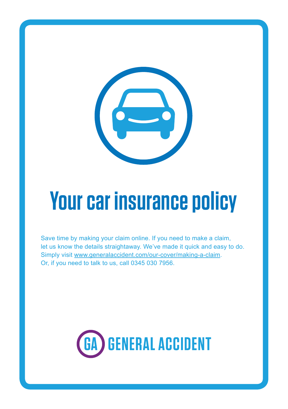

# **Your car insurance policy**

Save time by making your claim online. If you need to make a claim, let us know the details straightaway. We've made it quick and easy to do. Simply visit<www.generalaccident.com/our-cover/making-a-claim>. Or, if you need to talk to us, call 0345 030 7956.

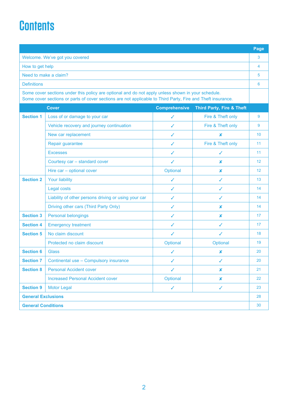# **Contents**

|                                                                                                                                                                                                                   |                                                      |                      |                                      | Page |  |  |
|-------------------------------------------------------------------------------------------------------------------------------------------------------------------------------------------------------------------|------------------------------------------------------|----------------------|--------------------------------------|------|--|--|
| Welcome. We've got you covered                                                                                                                                                                                    |                                                      |                      |                                      |      |  |  |
| How to get help                                                                                                                                                                                                   |                                                      |                      |                                      |      |  |  |
| Need to make a claim?                                                                                                                                                                                             |                                                      |                      |                                      |      |  |  |
| <b>Definitions</b>                                                                                                                                                                                                |                                                      |                      |                                      |      |  |  |
| Some cover sections under this policy are optional and do not apply unless shown in your schedule.<br>Some cover sections or parts of cover sections are not applicable to Third Party, Fire and Theft insurance. |                                                      |                      |                                      |      |  |  |
|                                                                                                                                                                                                                   | <b>Cover</b>                                         | <b>Comprehensive</b> | <b>Third Party, Fire &amp; Theft</b> |      |  |  |
| <b>Section 1</b>                                                                                                                                                                                                  | Loss of or damage to your car                        | ✓                    | Fire & Theft only                    | 9    |  |  |
|                                                                                                                                                                                                                   | Vehicle recovery and journey continuation            | ✓                    | Fire & Theft only                    | 9    |  |  |
|                                                                                                                                                                                                                   | New car replacement                                  | ✓                    | ×                                    | 10   |  |  |
|                                                                                                                                                                                                                   | Repair guarantee                                     | ✓                    | Fire & Theft only                    | 11   |  |  |
|                                                                                                                                                                                                                   | <b>Excesses</b>                                      | ✓                    | ✓                                    | 11   |  |  |
|                                                                                                                                                                                                                   | Courtesy car - standard cover                        | ✓                    | ×                                    | 12   |  |  |
|                                                                                                                                                                                                                   | Hire car - optional cover                            | Optional             | x                                    | 12   |  |  |
| <b>Section 2</b>                                                                                                                                                                                                  | <b>Your liability</b>                                | ✓                    | ✓                                    | 13   |  |  |
|                                                                                                                                                                                                                   | <b>Legal costs</b>                                   | ✓                    | ✓                                    | 14   |  |  |
|                                                                                                                                                                                                                   | Liability of other persons driving or using your car | ✓                    | ✓                                    | 14   |  |  |
|                                                                                                                                                                                                                   | Driving other cars (Third Party Only)                | ✓                    | ×                                    | 14   |  |  |
| <b>Section 3</b>                                                                                                                                                                                                  | <b>Personal belongings</b>                           | ✓                    | ×                                    | 17   |  |  |
| <b>Section 4</b>                                                                                                                                                                                                  | <b>Emergency treatment</b>                           | ✓                    | ✓                                    | 17   |  |  |
| <b>Section 5</b>                                                                                                                                                                                                  | No claim discount                                    | ✓                    | J                                    | 18   |  |  |
|                                                                                                                                                                                                                   | Protected no claim discount                          | Optional             | Optional                             | 19   |  |  |
| <b>Section 6</b>                                                                                                                                                                                                  | <b>Glass</b>                                         | ✓                    | ×                                    | 20   |  |  |
| <b>Section 7</b>                                                                                                                                                                                                  | Continental use - Compulsory insurance               | ✓                    | ✓                                    | 20   |  |  |
| <b>Section 8</b>                                                                                                                                                                                                  | <b>Personal Accident cover</b>                       | ✓                    | x                                    | 21   |  |  |
|                                                                                                                                                                                                                   | <b>Increased Personal Accident cover</b>             | Optional             | ×                                    | 22   |  |  |
| <b>Section 9</b>                                                                                                                                                                                                  | <b>Motor Legal</b>                                   | ✓                    | ✓                                    | 23   |  |  |
| <b>General Exclusions</b>                                                                                                                                                                                         |                                                      |                      |                                      |      |  |  |
| <b>General Conditions</b>                                                                                                                                                                                         |                                                      |                      |                                      |      |  |  |
|                                                                                                                                                                                                                   |                                                      |                      |                                      |      |  |  |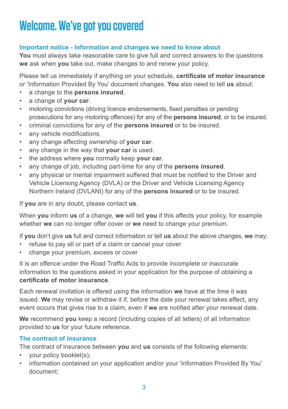# **Welcome. We've got you covered**

### **Important notice - Information and changes we need to know about**

**You** must always take reasonable care to give full and correct answers to the questions **we** ask when **you** take out, make changes to and renew your policy.

Please tell us immediately if anything on your schedule, **certificate of motor insurance** or 'Information Provided By You' document changes. **You** also need to tell **us** about:

- a change to the **persons insured**.
- a change of **your car**.
- motoring convictions (driving licence endorsements, fixed penalties or pending prosecutions for any motoring offences) for any of the **persons insured**, or to be insured.
- criminal convictions for any of the **persons insured** or to be insured.
- any vehicle modifications.
- any change affecting ownership of **your car**.
- any change in the way that **your car** is used.
- the address where **you** normally keep **your car**.
- any change of job, including part-time for any of the **persons insured**.
- any physical or mental impairment suffered that must be notified to the Driver and Vehicle Licensing Agency (DVLA) or the Driver and Vehicle Licensing Agency Northern Ireland (DVLANI) for any of the **persons insured** or to be insured.

If **you** are in any doubt, please contact **us**.

When **you** inform **us** of a change, **we** will tell **you** if this affects your policy, for example whether **we** can no longer offer cover or **we** need to change your premium.

If **you** don't give **us** full and correct information or tell **us** about the above changes, **we** may:

- refuse to pay all or part of a claim or cancel your cover
- change your premium, excess or cover

It is an offence under the Road Traffic Acts to provide incomplete or inaccurate information to the questions asked in your application for the purpose of obtaining a **certificate of motor insurance**.

Each renewal invitation is offered using the information **we** have at the time it was issued. **We** may revise or withdraw it if, before the date your renewal takes effect, any event occurs that gives rise to a claim, even if **we** are notified after your renewal date.

**We** recommend **you** keep a record (including copies of all letters) of all information provided to **us** for your future reference.

### **The contract of insurance**

The contract of insurance between **you** and **us** consists of the following elements:

- your policy booklet(s);
- •information contained on your application and/or your 'Information Provided By You' document;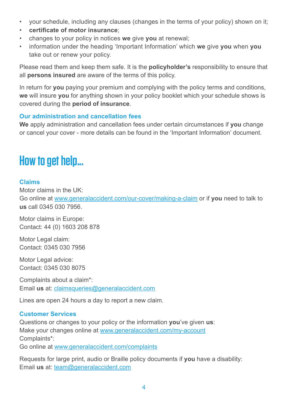- your schedule, including any clauses (changes in the terms of your policy) shown on it;
- **certificate of motor insurance**;
- changes to your policy in notices **we** give **you** at renewal;
- •information under the heading 'Important Information' which **we** give **you** when **you** take out or renew your policy.

Please read them and keep them safe. It is the **policyholder's** responsibility to ensure that all **persons insured** are aware of the terms of this policy.

In return for **you** paying your premium and complying with the policy terms and conditions, **we** will insure **you** for anything shown in your policy booklet which your schedule shows is covered during the **period of insurance**.

### **Our administration and cancellation fees**

**We** apply administration and cancellation fees under certain circumstances if **you** change or cancel your cover - more details can be found in the 'Important Information' document.

### **How to get help...**

### **Claims**

Motor claims in the UK: Go online at [www.generalaccident.com/our-cover/making-a-claim](http://www.generalaccident.com/our-cover/making-a-claim) or if **you** need to talk to **us** call 0345 030 7956.

Motor claims in Europe: Contact: 44 (0) 1603 208 878

Motor Legal claim: Contact: 0345 030 7956

Motor Legal advice: Contact: 0345 030 8075

Complaints about a claim\*: Email **us** at: [claimsqueries@generalaccident.com](mailto:claimsqueries@generalaccident.com)

Lines are open 24 hours a day to report a new claim.

### **Customer Services**

Questions or changes to your policy or the information **you**'ve given **us**: Make your changes online at [www.generalaccident.com/my-account](http://www.generalaccident.com/my-account) Complaints\*:

Go online at www.generalaccident.com/complaints

Requests for large print, audio or Braille policy documents if **you** have a disability: Email **us** at: [team@generalaccident.com](http://team@generalaccident.com)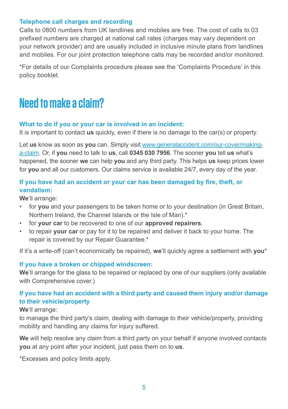### **Telephone call charges and recording**

Calls to 0800 numbers from UK landlines and mobiles are free. The cost of calls to 03 prefixed numbers are charged at national call rates (charges may vary dependent on your network provider) and are usually included in inclusive minute plans from landlines and mobiles. For our joint protection telephone calls may be recorded and/or monitored.

\*For details of our Complaints procedure please see the 'Complaints Procedure' in this policy booklet.

### **Need to make a claim?**

### **What to do if you or your car is involved in an incident:**

It is important to contact **us** quickly, even if there is no damage to the car(s) or property.

Let **us** know as soon as **you** can. Simply visit [www.generalaccident.com/our-cover/making](http://www.generalaccident.com/our-cover/making-a-claim)[a-claim.](http://www.generalaccident.com/our-cover/making-a-claim) Or, if **you** need to talk to **us**, call **0345 030 7956**. The sooner **you** tell **us** what's happened, the sooner **we** can help **you** and any third party. This helps **us** keep prices lower for **you** and all our customers. Our claims service is available 24/7, every day of the year.

### **If you have had an accident or your car has been damaged by fire, theft, or vandalism:**

**We**'ll arrange:

- for **you** and your passengers to be taken home or to your destination (in Great Britain, Northern Ireland, the Channel Islands or the Isle of Man).\*
- for **your car** to be recovered to one of our **approved repairers**.
- to repair **your car** or pay for it to be repaired and deliver it back to your home. The repair is covered by our Repair Guarantee.\*

If it's a write-off (can't economically be repaired), **we**'ll quickly agree a settlement with **you**\*

### **If you have a broken or chipped windscreen:**

**We**'ll arrange for the glass to be repaired or replaced by one of our suppliers (only available with Comprehensive cover.)

### **If you have had an accident with a third party and caused them injury and/or damage to their vehicle/property**

**We**'ll arrange:

to manage the third party's claim, dealing with damage to their vehicle/property, providing mobility and handling any claims for injury suffered.

**We** will help resolve any claim from a third party on your behalf if anyone involved contacts **you** at any point after your incident, just pass them on to **us**.

\*Excesses and policy limits apply.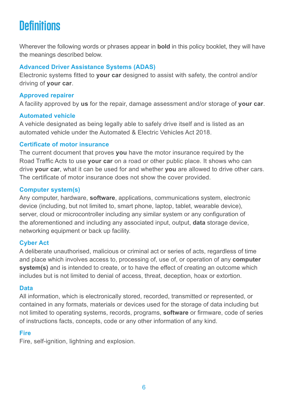# **Definitions**

Wherever the following words or phrases appear in **bold** in this policy booklet, they will have the meanings described below.

### **Advanced Driver Assistance Systems (ADAS)**

Electronic systems fitted to **your car** designed to assist with safety, the control and/or driving of **your car**.

### **Approved repairer**

A facility approved by **us** for the repair, damage assessment and/or storage of **your car**.

### **Automated vehicle**

A vehicle designated as being legally able to safely drive itself and is listed as an automated vehicle under the Automated & Electric Vehicles Act 2018.

### **Certificate of motor insurance**

The current document that proves **you** have the motor insurance required by the Road Traffic Acts to use **your car** on a road or other public place. It shows who can drive **your car**, what it can be used for and whether **you** are allowed to drive other cars. The certificate of motor insurance does not show the cover provided.

### **Computer system(s)**

Any computer, hardware, **software**, applications, communications system, electronic device (including, but not limited to, smart phone, laptop, tablet, wearable device), server, cloud or microcontroller including any similar system or any configuration of the aforementioned and including any associated input, output, **data** storage device, networking equipment or back up facility.

### **Cyber Act**

A deliberate unauthorised, malicious or criminal act or series of acts, regardless of time and place which involves access to, processing of, use of, or operation of any **computer system(s)** and is intended to create, or to have the effect of creating an outcome which includes but is not limited to denial of access, threat, deception, hoax or extortion.

### **Data**

All information, which is electronically stored, recorded, transmitted or represented, or contained in any formats, materials or devices used for the storage of data including but not limited to operating systems, records, programs, **software** or firmware, code of series of instructions facts, concepts, code or any other information of any kind.

### **Fire**

Fire, self-ignition, lightning and explosion.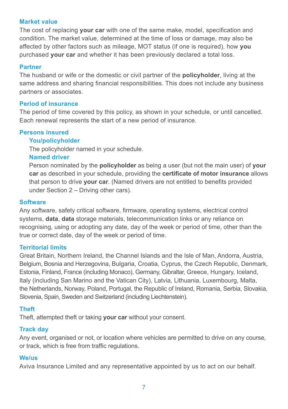### **Market value**

The cost of replacing **your car** with one of the same make, model, specification and condition. The market value, determined at the time of loss or damage, may also be affected by other factors such as mileage, MOT status (if one is required), how **you** purchased **your car** and whether it has been previously declared a total loss.

### **Partner**

The husband or wife or the domestic or civil partner of the **policyholder**, living at the same address and sharing financial responsibilities. This does not include any business partners or associates.

### **Period of insurance**

The period of time covered by this policy, as shown in your schedule, or until cancelled. Each renewal represents the start of a new period of insurance.

### **Persons insured**

### **You/policyholder**

The policyholder named in your schedule.

### **Named driver**

Person nominated by the **policyholder** as being a user (but not the main user) of **your car** as described in your schedule, providing the **certificate of motor insurance** allows that person to drive **your car**. (Named drivers are not entitled to benefits provided under Section 2 – Driving other cars).

#### **Software**

Any software, safety critical software, firmware, operating systems, electrical control systems, **data**, **data** storage materials, telecommunication links or any reliance on recognising, using or adopting any date, day of the week or period of time, other than the true or correct date, day of the week or period of time.

### **Territorial limits**

Great Britain, Northern Ireland, the Channel Islands and the Isle of Man, Andorra, Austria, Belgium, Bosnia and Herzegovina, Bulgaria, Croatia, Cyprus, the Czech Republic, Denmark, Estonia, Finland, France (including Monaco), Germany, Gibraltar, Greece, Hungary, Iceland, Italy (including San Marino and the Vatican City), Latvia, Lithuania, Luxembourg, Malta, the Netherlands, Norway, Poland, Portugal, the Republic of Ireland, Romania, Serbia, Slovakia, Slovenia, Spain, Sweden and Switzerland (including Liechtenstein).

### **Theft**

Theft, attempted theft or taking **your car** without your consent.

### **Track day**

Any event, organised or not, or location where vehicles are permitted to drive on any course, or track, which is free from traffic regulations.

### **We/us**

Aviva Insurance Limited and any representative appointed by us to act on our behalf.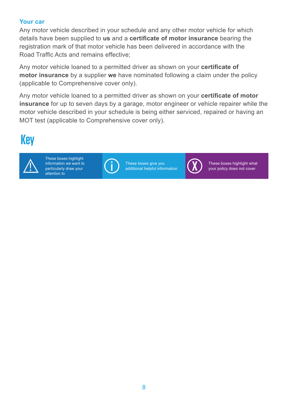### **Your car**

Any motor vehicle described in your schedule and any other motor vehicle for which details have been supplied to **us** and a **certificate of motor insurance** bearing the registration mark of that motor vehicle has been delivered in accordance with the Road Traffic Acts and remains effective;

Any motor vehicle loaned to a permitted driver as shown on your **certificate of motor insurance** by a supplier **we** have nominated following a claim under the policy (applicable to Comprehensive cover only).

Any motor vehicle loaned to a permitted driver as shown on your **certificate of motor insurance** for up to seven days by a garage, motor engineer or vehicle repairer while the motor vehicle described in your schedule is being either serviced, repaired or having an MOT test (applicable to Comprehensive cover only).

### **Key**



These boxes highlight information we want to particularly draw your attention to



These boxes give you additional helpful information



These boxes highlight what your policy does not cover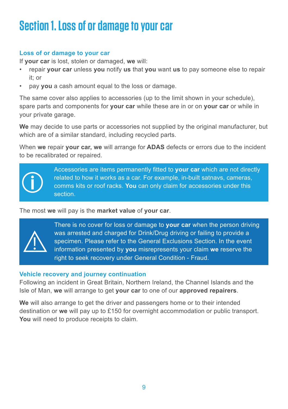# **Section 1. Loss of or damage to your car**

### **Loss of or damage to your car**

If **your car** is lost, stolen or damaged, **we** will:

- repair **your car** unless **you** notify **us** that **you** want **us** to pay someone else to repair it; or
- pay **you** a cash amount equal to the loss or damage.

The same cover also applies to accessories (up to the limit shown in your schedule), spare parts and components for **your car** while these are in or on **your car** or while in your private garage.

**We** may decide to use parts or accessories not supplied by the original manufacturer, but which are of a similar standard, including recycled parts.

When **we** repair **your car, we** will arrange for **ADAS** defects or errors due to the incident to be recalibrated or repaired.

> Accessories are items permanently fitted to **your car** which are not directly related to how it works as a car. For example, in-built satnavs, cameras, comms kits or roof racks. **You** can only claim for accessories under this section.

The most **we** will pay is the **market value** of **your car**.



There is no cover for loss or damage to **your car** when the person driving was arrested and charged for Drink/Drug driving or failing to provide a specimen. Please refer to the General Exclusions Section. In the event information presented by **you** misrepresents your claim **we** reserve the right to seek recovery under General Condition - Fraud.

### **Vehicle recovery and journey continuation**

Following an incident in Great Britain, Northern Ireland, the Channel Islands and the Isle of Man, **we** will arrange to get **your car** to one of our **approved repairers**.

**We** will also arrange to get the driver and passengers home or to their intended destination or **we** will pay up to £150 for overnight accommodation or public transport. **You** will need to produce receipts to claim.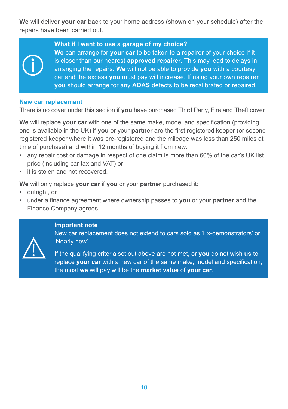**We** will deliver **your car** back to your home address (shown on your schedule) after the repairs have been carried out.



### **What if I want to use a garage of my choice?**

**We** can arrange for **your car** to be taken to a repairer of your choice if it is closer than our nearest **approved repairer**. This may lead to delays in arranging the repairs. **We** will not be able to provide **you** with a courtesy car and the excess **you** must pay will increase. If using your own repairer, **you** should arrange for any **ADAS** defects to be recalibrated or repaired.

#### **New car replacement**

There is no cover under this section if **you** have purchased Third Party, Fire and Theft cover.

**We** will replace **your car** with one of the same make, model and specification (providing one is available in the UK) if **you** or your **partner** are the first registered keeper (or second registered keeper where it was pre-registered and the mileage was less than 250 miles at time of purchase) and within 12 months of buying it from new:

- any repair cost or damage in respect of one claim is more than 60% of the car's UK list price (including car tax and VAT) or
- it is stolen and not recovered.

**We** will only replace **your car** if **you** or your **partner** purchased it:

- outright, or
- • under a finance agreement where ownership passes to **you** or your **partner** and the Finance Company agrees.

#### **Important note**

New car replacement does not extend to cars sold as 'Ex-demonstrators' or 'Nearly new'.

If the qualifying criteria set out above are not met, or **you** do not wish **us** to replace **your car** with a new car of the same make, model and specification, the most **we** will pay will be the **market value** of **your car**.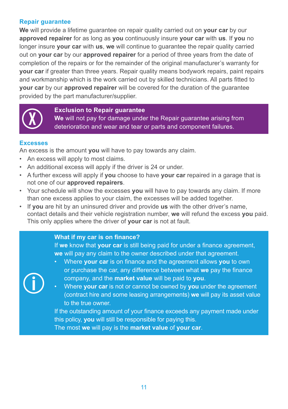### **Repair guarantee**

**We** will provide a lifetime guarantee on repair quality carried out on **your car** by our **approved repairer** for as long as **you** continuously insure **your car** with **us**. If **you** no longer insure **your car** with **us**, **we** will continue to guarantee the repair quality carried out on **your car** by our **approved repairer** for a period of three years from the date of completion of the repairs or for the remainder of the original manufacturer's warranty for **your car** if greater than three years. Repair quality means bodywork repairs, paint repairs and workmanship which is the work carried out by skilled technicians. All parts fitted to **your car** by our **approved repairer** will be covered for the duration of the guarantee provided by the part manufacturer/supplier.



 **Exclusion to Repair guarantee**

**We** will not pay for damage under the Repair guarantee arising from deterioration and wear and tear or parts and component failures.

#### **Excesses**

An excess is the amount **you** will have to pay towards any claim.

- An excess will apply to most claims.
- An additional excess will apply if the driver is 24 or under.
- A further excess will apply if **you** choose to have **your car** repaired in a garage that is not one of our **approved repairers**.
- Your schedule will show the excesses **you** will have to pay towards any claim. If more than one excess applies to your claim, the excesses will be added together.
- If **you** are hit by an uninsured driver and provide **us** with the other driver's name, contact details and their vehicle registration number, **we** will refund the excess **you** paid. This only applies where the driver of **your car** is not at fault.

### **What if my car is on finance?**

If **we** know that **your car** is still being paid for under a finance agreement, **we** will pay any claim to the owner described under that agreement.

- Where **your car** is on finance and the agreement allows **you** to own or purchase the car, any difference between what **we** pay the finance company, and the **market value** will be paid to **you**.
- Where **your car** is not or cannot be owned by **you** under the agreement (contract hire and some leasing arrangements) **we** will pay its asset value to the true owner.

If the outstanding amount of your finance exceeds any payment made under this policy, **you** will still be responsible for paying this.

The most **we** will pay is the **market value** of **your car**.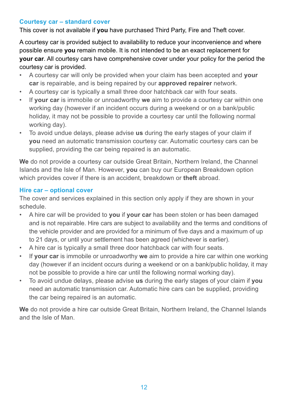### **Courtesy car – standard cover**

This cover is not available if **you** have purchased Third Party, Fire and Theft cover.

A courtesy car is provided subject to availability to reduce your inconvenience and where possible ensure **you** remain mobile. It is not intended to be an exact replacement for **your car**. All courtesy cars have comprehensive cover under your policy for the period the courtesy car is provided.

- A courtesy car will only be provided when your claim has been accepted and **your car** is repairable, and is being repaired by our **approved repairer** network.
- A courtesy car is typically a small three door hatchback car with four seats.
- If **your car** is immobile or unroadworthy **we** aim to provide a courtesy car within one working day (however if an incident occurs during a weekend or on a bank/public holiday, it may not be possible to provide a courtesy car until the following normal working day).
- To avoid undue delays, please advise **us** during the early stages of your claim if **you** need an automatic transmission courtesy car. Automatic courtesy cars can be supplied, providing the car being repaired is an automatic.

**We** do not provide a courtesy car outside Great Britain, Northern Ireland, the Channel Islands and the Isle of Man. However, **you** can buy our European Breakdown option which provides cover if there is an accident, breakdown or **theft** abroad.

### **Hire car – optional cover**

The cover and services explained in this section only apply if they are shown in your schedule.

- A hire car will be provided to **you** if **your car** has been stolen or has been damaged and is not repairable. Hire cars are subject to availability and the terms and conditions of the vehicle provider and are provided for a minimum of five days and a maximum of up to 21 days, or until your settlement has been agreed (whichever is earlier).
- A hire car is typically a small three door hatchback car with four seats.
- If **your car** is immobile or unroadworthy **we** aim to provide a hire car within one working day (however if an incident occurs during a weekend or on a bank/public holiday, it may not be possible to provide a hire car until the following normal working day).
- To avoid undue delays, please advise **us** during the early stages of your claim if **you** need an automatic transmission car. Automatic hire cars can be supplied, providing the car being repaired is an automatic.

**We** do not provide a hire car outside Great Britain, Northern Ireland, the Channel Islands and the Isle of Man.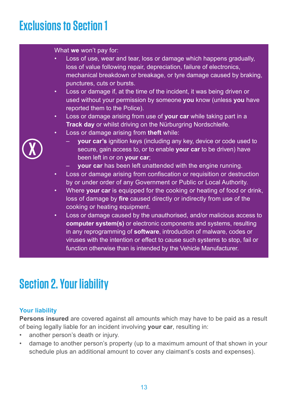### **Exclusions to Section 1**

### What **we** won't pay for: • Loss of use, wear and tear, loss or damage which happens gradually, loss of value following repair, depreciation, failure of electronics, mechanical breakdown or breakage, or tyre damage caused by braking, punctures, cuts or bursts. • Loss or damage if, at the time of the incident, it was being driven or used without your permission by someone **you** know (unless **you** have reported them to the Police). • Loss or damage arising from use of **your car** while taking part in a **Track day** or whilst driving on the Nürburgring Nordschleife. • Loss or damage arising from **theft** while: – **your car's** ignition keys (including any key, device or code used to secure, gain access to, or to enable **your car** to be driven) have been left in or on **your car**; – **your car** has been left unattended with the engine running. • Loss or damage arising from confiscation or requisition or destruction by or under order of any Government or Public or Local Authority.

- Where **your car** is equipped for the cooking or heating of food or drink, loss of damage by **fire** caused directly or indirectly from use of the cooking or heating equipment.
- Loss or damage caused by the unauthorised, and/or malicious access to **computer system(s)** or electronic components and systems, resulting in any reprogramming of **software**, introduction of malware, codes or viruses with the intention or effect to cause such systems to stop, fail or function otherwise than is intended by the Vehicle Manufacturer.

# **Section 2. Your liability**

### **Your liability**

**Persons insured** are covered against all amounts which may have to be paid as a result of being legally liable for an incident involving **your car**, resulting in:

- another person's death or injury.
- damage to another person's property (up to a maximum amount of that shown in your schedule plus an additional amount to cover any claimant's costs and expenses).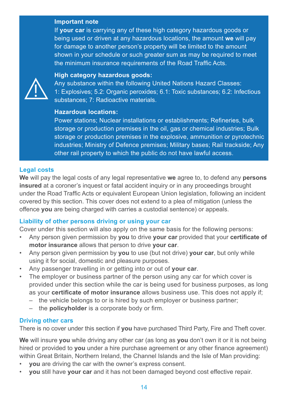#### **Important note**

If **your car** is carrying any of these high category hazardous goods or being used or driven at any hazardous locations, the amount **we** will pay for damage to another person's property will be limited to the amount shown in your schedule or such greater sum as may be required to meet the minimum insurance requirements of the Road Traffic Acts.

#### **High category hazardous goods:**



Any substance within the following United Nations Hazard Classes: 1: Explosives; 5.2: Organic peroxides; 6.1: Toxic substances; 6.2: Infectious substances; 7: Radioactive materials.

#### **Hazardous locations:**

Power stations; Nuclear installations or establishments; Refineries, bulk storage or production premises in the oil, gas or chemical industries; Bulk storage or production premises in the explosive, ammunition or pyrotechnic industries; Ministry of Defence premises; Military bases; Rail trackside; Any other rail property to which the public do not have lawful access.

#### **Legal costs**

**We** will pay the legal costs of any legal representative **we** agree to, to defend any **persons insured** at a coroner's inquest or fatal accident inquiry or in any proceedings brought under the Road Traffic Acts or equivalent European Union legislation, following an incident covered by this section. This cover does not extend to a plea of mitigation (unless the offence **you** are being charged with carries a custodial sentence) or appeals.

#### **Liability of other persons driving or using your car**

Cover under this section will also apply on the same basis for the following persons:

- Any person given permission by **you** to drive **your car** provided that your **certificate of motor insurance** allows that person to drive **your car**.
- Any person given permission by **you** to use (but not drive) **your car**, but only while using it for social, domestic and pleasure purposes.
- Any passenger travelling in or getting into or out of **your car**.
- The employer or business partner of the person using any car for which cover is provided under this section while the car is being used for business purposes, as long as your **certificate of motor insurance** allows business use. This does not apply if;
	- the vehicle belongs to or is hired by such employer or business partner;
	- the **policyholder** is a corporate body or firm.

#### **Driving other cars**

There is no cover under this section if **you** have purchased Third Party, Fire and Theft cover.

**We** will insure **you** while driving any other car (as long as **you** don't own it or it is not being hired or provided to **you** under a hire purchase agreement or any other finance agreement) within Great Britain, Northern Ireland, the Channel Islands and the Isle of Man providing:

- **you** are driving the car with the owner's express consent.
- **you** still have **your car** and it has not been damaged beyond cost effective repair.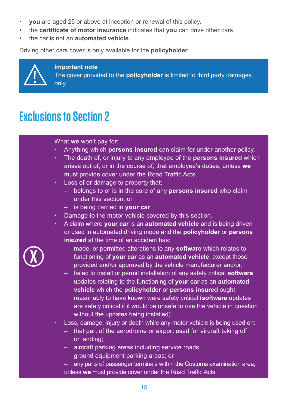- **you** are aged 25 or above at inception or renewal of this policy.
- the **certificate of motor insurance** indicates that **you** can drive other cars.
- the car is not an **automated vehicle**.

Driving other cars cover is only available for the **policyholder**.



**Important note** The cover provided to the **policyholder** is limited to third party damages only.

### **Exclusions to Section 2**

### What **we** won't pay for:

- Anything which **persons insured** can claim for under another policy.
- The death of, or injury to any employee of the **persons insured** which arises out of, or in the course of, that employee's duties, unless **we** must provide cover under the Road Traffic Acts.
- Loss of or damage to property that:
	- belongs to or is in the care of any **persons insured** who claim under this section; or
	- is being carried in **your car**.
- Damage to the motor vehicle covered by this section.
- A claim where **your car** is an **automated vehicle** and is being driven or used in automated driving mode and the **policyholder** or **persons insured** at the time of an accident has:



- made, or permitted alterations to any **software** which relates to functioning of **your car** as an **automated vehicle**, except those provided and/or approved by the vehicle manufacturer and/or;
- failed to install or permit installation of any safety critical **software** updates relating to the functioning of **your car** as an **automated vehicle** which the **policyholder** or **persons insured** ought reasonably to have known were safety critical (**software** updates are safety critical if it would be unsafe to use the vehicle in question without the updates being installed).
- Loss, damage, injury or death while any motor vehicle is being used on:
	- that part of the aerodrome or airport used for aircraft taking off or landing;
	- aircraft parking areas including service roads;
	- ground equipment parking areas; or
	- any parts of passenger terminals within the Customs examination area; unless **we** must provide cover under the Road Traffic Acts.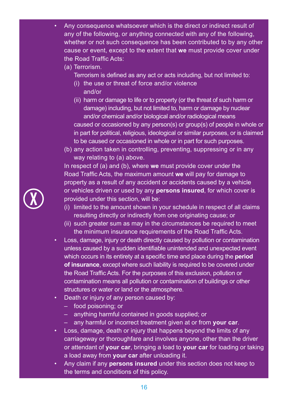- Any consequence whatsoever which is the direct or indirect result of any of the following, or anything connected with any of the following, whether or not such consequence has been contributed to by any other cause or event, except to the extent that **we** must provide cover under the Road Traffic Acts:
	- (a) Terrorism.
		- Terrorism is defined as any act or acts including, but not limited to:
		- (i) the use or threat of force and/or violence and/or
		- (ii) harm or damage to life or to property (or the threat of such harm or damage) including, but not limited to, harm or damage by nuclear and/or chemical and/or biological and/or radiological means caused or occasioned by any person(s) or group(s) of people in whole or in part for political, religious, ideological or similar purposes, or is claimed to be caused or occasioned in whole or in part for such purposes.
	- (b) any action taken in controlling, preventing, suppressing or in any way relating to (a) above.

 In respect of (a) and (b), where **we** must provide cover under the Road Traffic Acts, the maximum amount **we** will pay for damage to property as a result of any accident or accidents caused by a vehicle or vehicles driven or used by any **persons insured**, for which cover is provided under this section, will be:

- (i) limited to the amount shown in your schedule in respect of all claims resulting directly or indirectly from one originating cause; or
- (ii) such greater sum as may in the circumstances be required to meet the minimum insurance requirements of the Road Traffic Acts.
- Loss, damage, injury or death directly caused by pollution or contamination unless caused by a sudden identifiable unintended and unexpected event which occurs in its entirety at a specific time and place during the **period of insurance**, except where such liability is required to be covered under the Road Traffic Acts. For the purposes of this exclusion, pollution or contamination means all pollution or contamination of buildings or other structures or water or land or the atmosphere.
- Death or injury of any person caused by:
	- food poisoning; or
	- anything harmful contained in goods supplied; or
	- any harmful or incorrect treatment given at or from **your car**.
- Loss, damage, death or injury that happens beyond the limits of any carriageway or thoroughfare and involves anyone, other than the driver or attendant of **your car**, bringing a load to **your car** for loading or taking a load away from **your car** after unloading it.
- Any claim if any **persons insured** under this section does not keep to the terms and conditions of this policy.

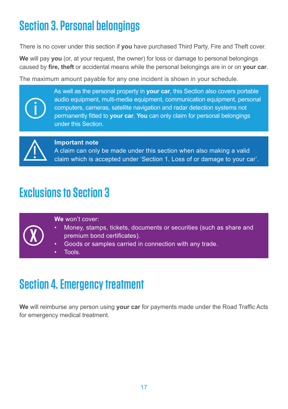# **Section 3. Personal belongings**

There is no cover under this section if **you** have purchased Third Party, Fire and Theft cover.

**We** will pay **you** (or, at your request, the owner) for loss or damage to personal belongings caused by **fire, theft** or accidental means while the personal belongings are in or on **your car**.

The maximum amount payable for any one incident is shown in your schedule.



As well as the personal property in **your car**, this Section also covers portable audio equipment, multi-media equipment, communication equipment, personal computers, cameras, satellite navigation and radar detection systems not permanently fitted to **your car**. **You** can only claim for personal belongings under this Section.



### **Important note**

A claim can only be made under this section when also making a valid claim which is accepted under 'Section 1. Loss of or damage to your car'.

### **Exclusions to Section 3**

**We** won't cover:

- Money, stamps, tickets, documents or securities (such as share and premium bond certificates).
- Goods or samples carried in connection with any trade.
- Tools.

# **Section 4. Emergency treatment**

**We** will reimburse any person using **your car** for payments made under the Road Traffic Acts for emergency medical treatment.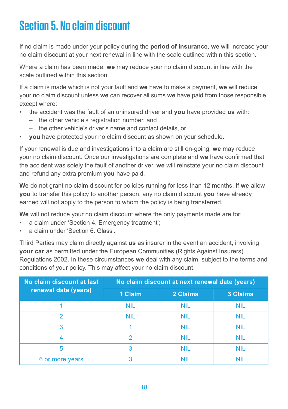# **Section 5. No claim discount**

If no claim is made under your policy during the **period of insurance**, **we** will increase your no claim discount at your next renewal in line with the scale outlined within this section.

Where a claim has been made, **we** may reduce your no claim discount in line with the scale outlined within this section

If a claim is made which is not your fault and **we** have to make a payment, **we** will reduce your no claim discount unless **we** can recover all sums **we** have paid from those responsible, except where:

- the accident was the fault of an uninsured driver and **you** have provided **us** with:
	- the other vehicle's registration number, and
	- the other vehicle's driver's name and contact details, or
- **you** have protected your no claim discount as shown on your schedule.

If your renewal is due and investigations into a claim are still on-going, **we** may reduce your no claim discount. Once our investigations are complete and **we** have confirmed that the accident was solely the fault of another driver, **we** will reinstate your no claim discount and refund any extra premium **you** have paid.

**We** do not grant no claim discount for policies running for less than 12 months. If **we** allow **you** to transfer this policy to another person, any no claim discount **you** have already earned will not apply to the person to whom the policy is being transferred.

**We** will not reduce your no claim discount where the only payments made are for:

- a claim under 'Section 4. Emergency treatment';
- a claim under 'Section 6. Glass'.

Third Parties may claim directly against **us** as insurer in the event an accident, involving **your car** as permitted under the European Communities (Rights Against Insurers) Regulations 2002. In these circumstances **we** deal with any claim, subject to the terms and conditions of your policy. This may affect your no claim discount.

| No claim discount at last | No claim discount at next renewal date (years) |            |            |  |
|---------------------------|------------------------------------------------|------------|------------|--|
| renewal date (years)      | 1 Claim                                        | 2 Claims   | 3 Claims   |  |
|                           | <b>NIL</b>                                     | <b>NIL</b> | <b>NIL</b> |  |
| 2                         | <b>NIL</b>                                     | <b>NIL</b> | <b>NIL</b> |  |
| 3                         |                                                | <b>NIL</b> | <b>NIL</b> |  |
|                           |                                                | <b>NIL</b> | <b>NIL</b> |  |
| 5                         | 3                                              | <b>NIL</b> | <b>NIL</b> |  |
| 6 or more years           | 3                                              | NII        | NII.       |  |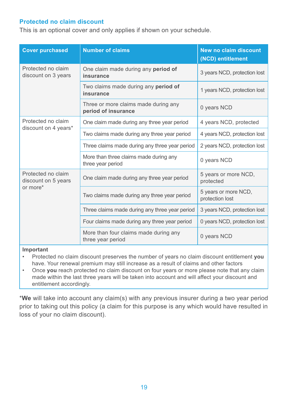### **Protected no claim discount**

This is an optional cover and only applies if shown on your schedule.

| <b>Cover purchased</b>                    | <b>Number of claims</b>                                     | New no claim discount<br>(NCD) entitlement |
|-------------------------------------------|-------------------------------------------------------------|--------------------------------------------|
| Protected no claim<br>discount on 3 years | One claim made during any period of<br>insurance            | 3 years NCD, protection lost               |
|                                           | Two claims made during any period of<br>insurance           | 1 years NCD, protection lost               |
|                                           | Three or more claims made during any<br>period of insurance | 0 years NCD                                |
| Protected no claim                        | One claim made during any three year period                 | 4 years NCD, protected                     |
| discount on 4 years*                      | Two claims made during any three year period                | 4 years NCD, protection lost               |
|                                           | Three claims made during any three year period              | 2 years NCD, protection lost               |
|                                           | More than three claims made during any<br>three year period | 0 years NCD                                |
| Protected no claim<br>discount on 5 years | One claim made during any three year period                 | 5 years or more NCD.<br>protected          |
| or more*                                  | Two claims made during any three year period                | 5 years or more NCD,<br>protection lost    |
|                                           | Three claims made during any three year period              | 3 years NCD, protection lost               |
|                                           | Four claims made during any three year period               | 0 years NCD, protection lost               |
|                                           | More than four claims made during any<br>three year period  | 0 years NCD                                |

#### **Important**

• Protected no claim discount preserves the number of years no claim discount entitlement **you** have. Your renewal premium may still increase as a result of claims and other factors

• Once **you** reach protected no claim discount on four years or more please note that any claim made within the last three years will be taken into account and will affect your discount and entitlement accordingly.

\***We** will take into account any claim(s) with any previous insurer during a two year period prior to taking out this policy (a claim for this purpose is any which would have resulted in loss of your no claim discount).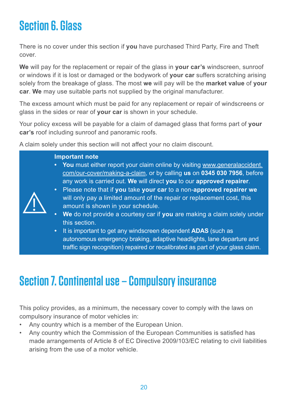# **Section 6. Glass**

There is no cover under this section if **you** have purchased Third Party, Fire and Theft cover.

**We** will pay for the replacement or repair of the glass in **your car's** windscreen, sunroof or windows if it is lost or damaged or the bodywork of **your car** suffers scratching arising solely from the breakage of glass. The most **we** will pay will be the **market value** of **your car**. **We** may use suitable parts not supplied by the original manufacturer.

The excess amount which must be paid for any replacement or repair of windscreens or glass in the sides or rear of **your car** is shown in your schedule.

Your policy excess will be payable for a claim of damaged glass that forms part of **your car's** roof including sunroof and panoramic roofs.

A claim solely under this section will not affect your no claim discount.

#### **Important note**

**• You** must either report your claim online by visiting [www.generalaccident.](http://www.generalaccident.com/our-cover/making-a-claim) [com/our-cover/making-a-claim](http://www.generalaccident.com/our-cover/making-a-claim), or by calling **us** on **0345 030 7956**, before any work is carried out. **We** will direct **you** to our **approved repairer**.



- Please note that if **you** take **your car** to a non-**approved repairer we** will only pay a limited amount of the repair or replacement cost, this amount is shown in your schedule.
- **We** do not provide a courtesy car if **you** are making a claim solely under this section.
- It is important to get any windscreen dependent **ADAS** (such as autonomous emergency braking, adaptive headlights, lane departure and traffic sign recognition) repaired or recalibrated as part of your glass claim.

### **Section 7. Continental use – Compulsory insurance**

This policy provides, as a minimum, the necessary cover to comply with the laws on compulsory insurance of motor vehicles in:

- Any country which is a member of the European Union.
- Any country which the Commission of the European Communities is satisfied has made arrangements of Article 8 of EC Directive 2009/103/EC relating to civil liabilities arising from the use of a motor vehicle.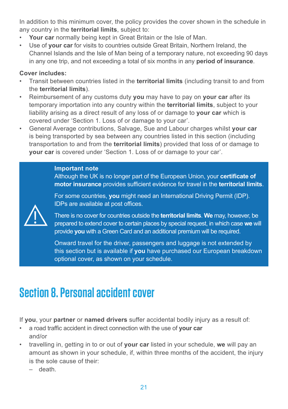In addition to this minimum cover, the policy provides the cover shown in the schedule in any country in the **territorial limits**, subject to:

- **Your car** normally being kept in Great Britain or the Isle of Man.
- Use of **your car** for visits to countries outside Great Britain, Northern Ireland, the Channel Islands and the Isle of Man being of a temporary nature, not exceeding 90 days in any one trip, and not exceeding a total of six months in any **period of insurance**.

### **Cover includes:**

- Transit between countries listed in the **territorial limits** (including transit to and from the **territorial limits**).
- Reimbursement of any customs duty **you** may have to pay on **your car** after its temporary importation into any country within the **territorial limits**, subject to your liability arising as a direct result of any loss of or damage to **your car** which is covered under 'Section 1. Loss of or damage to your car'.
- General Average contributions, Salvage, Sue and Labour charges whilst **your car** is being transported by sea between any countries listed in this section (including transportation to and from the **territorial limits**) provided that loss of or damage to **your car** is covered under 'Section 1. Loss of or damage to your car'.

### **Important note**

Although the UK is no longer part of the European Union, your **certificate of motor insurance** provides sufficient evidence for travel in the **territorial limits**.

For some countries, **you** might need an International Driving Permit (IDP). IDPs are available at post offices.



There is no cover for countries outside the **territorial limits**. **We** may, however, be prepared to extend cover to certain places by special request, in which case **we** will provide **you** with a Green Card and an additional premium will be required.

Onward travel for the driver, passengers and luggage is not extended by this section but is available if **you** have purchased our European breakdown optional cover, as shown on your schedule.

### **Section 8. Personal accident cover**

If **you**, your **partner** or **named drivers** suffer accidental bodily injury as a result of:

- • a road traffic accident in direct connection with the use of **your car** and/or
- travelling in, getting in to or out of **your car** listed in your schedule, **we** will pay an amount as shown in your schedule, if, within three months of the accident, the injury is the sole cause of their:
	- death.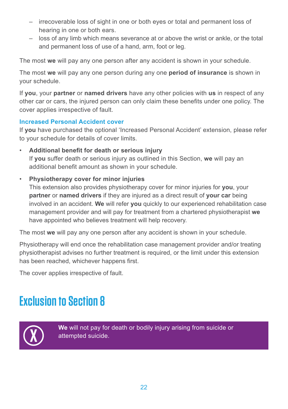- irrecoverable loss of sight in one or both eyes or total and permanent loss of hearing in one or both ears.
- loss of any limb which means severance at or above the wrist or ankle, or the total and permanent loss of use of a hand, arm, foot or leg.

The most **we** will pay any one person after any accident is shown in your schedule.

The most **we** will pay any one person during any one **period of insurance** is shown in your schedule.

If **you**, your **partner** or **named drivers** have any other policies with **us** in respect of any other car or cars, the injured person can only claim these benefits under one policy. The cover applies irrespective of fault.

### **Increased Personal Accident cover**

If **you** have purchased the optional 'Increased Personal Accident' extension, please refer to your schedule for details of cover limits.

• **Additional benefit for death or serious injury** If **you** suffer death or serious injury as outlined in this Section, **we** will pay an additional benefit amount as shown in your schedule.

### • **Physiotherapy cover for minor injuries**

 This extension also provides physiotherapy cover for minor injuries for **you**, your **partner** or **named drivers** if they are injured as a direct result of **your car** being involved in an accident. **We** will refer **you** quickly to our experienced rehabilitation case management provider and will pay for treatment from a chartered physiotherapist **we** have appointed who believes treatment will help recovery.

The most **we** will pay any one person after any accident is shown in your schedule.

Physiotherapy will end once the rehabilitation case management provider and/or treating physiotherapist advises no further treatment is required, or the limit under this extension has been reached, whichever happens first.

The cover applies irrespective of fault.

## **Exclusion to Section 8**



**We** will not pay for death or bodily injury arising from suicide or attempted suicide.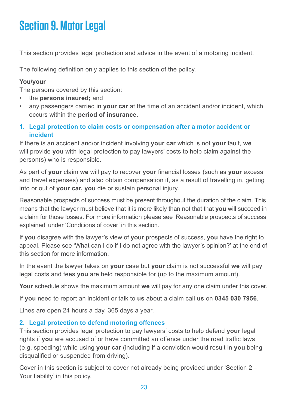# **Section 9. Motor Legal**

This section provides legal protection and advice in the event of a motoring incident.

The following definition only applies to this section of the policy.

### **You/your**

The persons covered by this section:

- the **persons insured;** and
- any passengers carried in **your car** at the time of an accident and/or incident, which occurs within the **period of insurance.**
- **1. Legal protection to claim costs or compensation after a motor accident or incident**

If there is an accident and/or incident involving **your car** which is not **your** fault, **we** will provide **you** with legal protection to pay lawyers' costs to help claim against the person(s) who is responsible.

As part of **your** claim **we** will pay to recover **your** financial losses (such as **your** excess and travel expenses) and also obtain compensation if, as a result of travelling in, getting into or out of **your car, you** die or sustain personal injury.

Reasonable prospects of success must be present throughout the duration of the claim. This means that the lawyer must believe that it is more likely than not that that **you** will succeed in a claim for those losses. For more information please see 'Reasonable prospects of success explained' under 'Conditions of cover' in this section.

If **you** disagree with the lawyer's view of **your** prospects of success, **you** have the right to appeal. Please see 'What can I do if I do not agree with the lawyer's opinion?' at the end of this section for more information.

In the event the lawyer takes on **your** case but **your** claim is not successful **we** will pay legal costs and fees **you** are held responsible for (up to the maximum amount).

**Your** schedule shows the maximum amount **we** will pay for any one claim under this cover.

If **you** need to report an incident or talk to **us** about a claim call **us** on **0345 030 7956**.

Lines are open 24 hours a day, 365 days a year.

### **2. Legal protection to defend motoring offences**

This section provides legal protection to pay lawyers' costs to help defend **your** legal rights if **you** are accused of or have committed an offence under the road traffic laws (e.g. speeding) while using **your car** (including if a conviction would result in **you** being disqualified or suspended from driving).

Cover in this section is subject to cover not already being provided under 'Section 2 – Your liability' in this policy.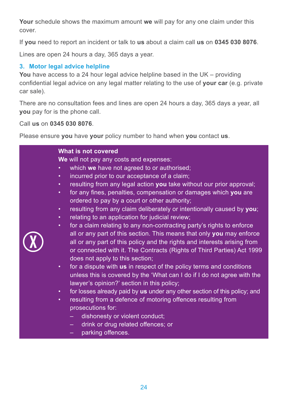**Your** schedule shows the maximum amount **we** will pay for any one claim under this cover.

If **you** need to report an incident or talk to **us** about a claim call **us** on **0345 030 8076**.

Lines are open 24 hours a day, 365 days a year.

### **3. Motor legal advice helpline**

**You** have access to a 24 hour legal advice helpline based in the UK – providing confidential legal advice on any legal matter relating to the use of **your car** (e.g. private car sale).

There are no consultation fees and lines are open 24 hours a day, 365 days a year, all **you** pay for is the phone call.

Call **us** on **0345 030 8076**.

Please ensure **you** have **your** policy number to hand when **you** contact **us**.

### **What is not covered**

**We** will not pay any costs and expenses:

- which **we** have not agreed to or authorised;
- incurred prior to our acceptance of a claim;
- resulting from any legal action **you** take without our prior approval;
- • for any fines, penalties, compensation or damages which **you** are ordered to pay by a court or other authority;
- resulting from any claim deliberately or intentionally caused by **you**;
- relating to an application for judicial review;
- for a claim relating to any non-contracting party's rights to enforce all or any part of this section. This means that only **you** may enforce all or any part of this policy and the rights and interests arising from or connected with it. The Contracts (Rights of Third Parties) Act 1999 does not apply to this section;
- for a dispute with **us** in respect of the policy terms and conditions unless this is covered by the 'What can I do if I do not agree with the lawyer's opinion?' section in this policy;
- for losses already paid by **us** under any other section of this policy; and
- resulting from a defence of motoring offences resulting from prosecutions for:
	- dishonesty or violent conduct;
	- drink or drug related offences; or
	- parking offences.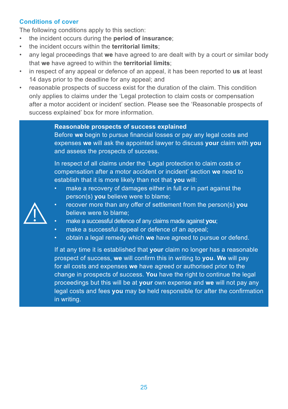### **Conditions of cover**

The following conditions apply to this section:

- the incident occurs during the **period of insurance**;
- the incident occurs within the **territorial limits**;
- any legal proceedings that **we** have agreed to are dealt with by a court or similar body that **we** have agreed to within the **territorial limits**;
- in respect of any appeal or defence of an appeal, it has been reported to **us** at least 14 days prior to the deadline for any appeal; and
- reasonable prospects of success exist for the duration of the claim. This condition only applies to claims under the 'Legal protection to claim costs or compensation after a motor accident or incident' section. Please see the 'Reasonable prospects of success explained' box for more information.

### **Reasonable prospects of success explained**

Before **we** begin to pursue financial losses or pay any legal costs and expenses **we** will ask the appointed lawyer to discuss **your** claim with **you** and assess the prospects of success.

In respect of all claims under the 'Legal protection to claim costs or compensation after a motor accident or incident' section **we** need to establish that it is more likely than not that **you** will:

make a recovery of damages either in full or in part against the person(s) **you** believe were to blame;



- recover more than any offer of settlement from the person(s) **you** believe were to blame;
- make a successful defence of any claims made against **you**;
- make a successful appeal or defence of an appeal;
- obtain a legal remedy which **we** have agreed to pursue or defend.

If at any time it is established that **your** claim no longer has a reasonable prospect of success, **we** will confirm this in writing to **you**. **We** will pay for all costs and expenses **we** have agreed or authorised prior to the change in prospects of success. **You** have the right to continue the legal proceedings but this will be at **your** own expense and **we** will not pay any legal costs and fees **you** may be held responsible for after the confirmation in writing.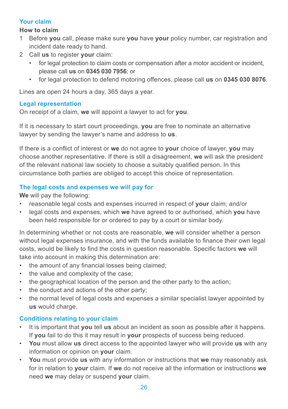### **Your claim**

### **How to claim**

- 1 Before **you** call, please make sure **you** have **your** policy number, car registration and incident date ready to hand.
- 2 Call **us** to register **your** claim:
	- for legal protection to claim costs or compensation after a motor accident or incident, please call **us** on **0345 030 7956**; or
	- for legal protection to defend motoring offences, please call **us** on **0345 030 8076**.

Lines are open 24 hours a day, 365 days a year.

### **Legal representation**

On receipt of a claim, **we** will appoint a lawyer to act for **you**.

If it is necessary to start court proceedings, **you** are free to nominate an alternative lawyer by sending the lawyer's name and address to **us**.

If there is a conflict of interest or **we** do not agree to **your** choice of lawyer, **you** may choose another representative. If there is still a disagreement, **we** will ask the president of the relevant national law society to choose a suitably qualified person. In this circumstance both parties are obliged to accept this choice of representation.

### **The legal costs and expenses we will pay for**

**We** will pay the following:

- reasonable legal costs and expenses incurred in respect of **your** claim; and/or
- legal costs and expenses, which **we** have agreed to or authorised, which **you** have been held responsible for or ordered to pay by a court or similar body.

In determining whether or not costs are reasonable, **we** will consider whether a person without legal expenses insurance, and with the funds available to finance their own legal costs, would be likely to find the costs in question reasonable. Specific factors **we** will take into account in making this determination are:

- • the amount of any financial losses being claimed;
- the value and complexity of the case;
- the geographical location of the person and the other party to the action;
- the conduct and actions of the other party:
- the normal level of legal costs and expenses a similar specialist lawyer appointed by **us** would charge.

### **Conditions relating to your claim**

- It is important that **you** tell **us** about an incident as soon as possible after it happens. If **you** fail to do this it may result in **your** prospects of success being reduced.
- **You** must allow **us** direct access to the appointed lawyer who will provide **us** with any information or opinion on **your** claim.
- **You** must provide **us** with any information or instructions that **we** may reasonably ask for in relation to **your** claim. If **we** do not receive all the information or instructions **we** need **we** may delay or suspend **your** claim.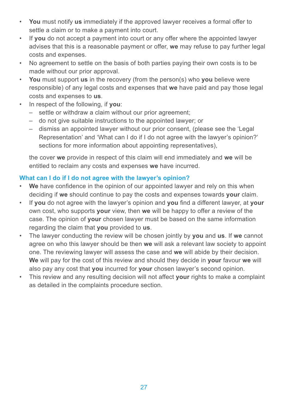- **You** must notify **us** immediately if the approved lawyer receives a formal offer to settle a claim or to make a payment into court.
- If **you** do not accept a payment into court or any offer where the appointed lawyer advises that this is a reasonable payment or offer, **we** may refuse to pay further legal costs and expenses.
- No agreement to settle on the basis of both parties paying their own costs is to be made without our prior approval.
- **You** must support **us** in the recovery (from the person(s) who **you** believe were responsible) of any legal costs and expenses that **we** have paid and pay those legal costs and expenses to **us**.
- In respect of the following, if **you**:
	- settle or withdraw a claim without our prior agreement;
	- do not give suitable instructions to the appointed lawyer; or
	- dismiss an appointed lawyer without our prior consent, (please see the 'Legal Representation' and 'What can I do if I do not agree with the lawyer's opinion?' sections for more information about appointing representatives),

 the cover **we** provide in respect of this claim will end immediately and **we** will be entitled to reclaim any costs and expenses **we** have incurred.

### **What can I do if I do not agree with the lawyer's opinion?**

- We have confidence in the opinion of our appointed lawyer and rely on this when deciding if **we** should continue to pay the costs and expenses towards **your** claim.
- If **you** do not agree with the lawyer's opinion and **you** find a different lawyer, at **your** own cost, who supports **your** view, then **we** will be happy to offer a review of the case. The opinion of **your** chosen lawyer must be based on the same information regarding the claim that **you** provided to **us**.
- The lawyer conducting the review will be chosen jointly by **you** and **us**. If **we** cannot agree on who this lawyer should be then **we** will ask a relevant law society to appoint one. The reviewing lawyer will assess the case and **we** will abide by their decision. **We** will pay for the cost of this review and should they decide in **your** favour **we** will also pay any cost that **you** incurred for **your** chosen lawyer's second opinion.
- This review and any resulting decision will not affect **your** rights to make a complaint as detailed in the complaints procedure section.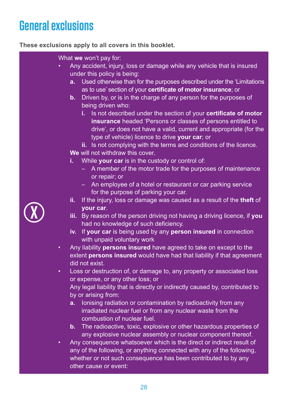### **General exclusions**

**These exclusions apply to all covers in this booklet.**

### What **we** won't pay for:

- Any accident, injury, loss or damage while any vehicle that is insured under this policy is being:
	- **a.** Used otherwise than for the purposes described under the 'Limitations as to use' section of your **certificate of motor insurance**; or
	- **b.** Driven by, or is in the charge of any person for the purposes of being driven who:
		- **i.** Is not described under the section of your **certificate of motor insurance** headed 'Persons or classes of persons entitled to drive', or does not have a valid, current and appropriate (for the type of vehicle) licence to drive **your car**; or

**ii.** Is not complying with the terms and conditions of the licence.

 **We** will not withdraw this cover,

- *i.* While **your car** is in the custody or control of:
	- A member of the motor trade for the purposes of maintenance or repair; or
	- An employee of a hotel or restaurant or car parking service for the purpose of parking your car.
- **ii.** If the injury, loss or damage was caused as a result of the **theft** of **your car**.
- **iii.** By reason of the person driving not having a driving licence, if **you** had no knowledge of such deficiency.
- **iv.** If **your car** is being used by any **person insured** in connection with unpaid voluntary work
- Any liability **persons insured** have agreed to take on except to the extent **persons insured** would have had that liability if that agreement did not exist.

• Loss or destruction of, or damage to, any property or associated loss or expense, or any other loss; or Any legal liability that is directly or indirectly caused by, contributed to by or arising from:

- **a.** Ionising radiation or contamination by radioactivity from any irradiated nuclear fuel or from any nuclear waste from the combustion of nuclear fuel.
- **b.** The radioactive, toxic, explosive or other hazardous properties of any explosive nuclear assembly or nuclear component thereof.
- Any consequence whatsoever which is the direct or indirect result of any of the following, or anything connected with any of the following, whether or not such consequence has been contributed to by any other cause or event:

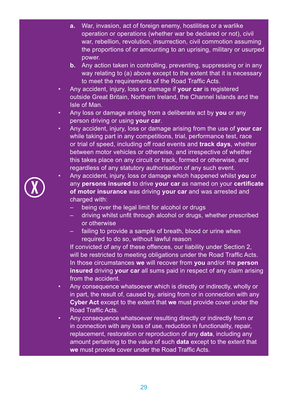- **a.** War, invasion, act of foreign enemy, hostilities or a warlike operation or operations (whether war be declared or not), civil war, rebellion, revolution, insurrection, civil commotion assuming the proportions of or amounting to an uprising, military or usurped power.
- **b.** Any action taken in controlling, preventing, suppressing or in any way relating to (a) above except to the extent that it is necessary to meet the requirements of the Road Traffic Acts.
- Any accident, injury, loss or damage if **your car** is registered outside Great Britain, Northern Ireland, the Channel Islands and the Isle of Man.
- Any loss or damage arising from a deliberate act by **you** or any person driving or using **your car**.
- Any accident, injury, loss or damage arising from the use of **your car** while taking part in any competitions, trial, performance test, race or trial of speed, including off road events and **track days**, whether between motor vehicles or otherwise, and irrespective of whether this takes place on any circuit or track, formed or otherwise, and regardless of any statutory authorisation of any such event.
- Any accident, injury, loss or damage which happened whilst **you** or any **persons insured** to drive **your car** as named on your **certificate of motor insurance** was driving **your car** and was arrested and charged with:
	- being over the legal limit for alcohol or drugs
	- driving whilst unfit through alcohol or drugs, whether prescribed or otherwise
	- failing to provide a sample of breath, blood or urine when required to do so, without lawful reason

 If convicted of any of these offences, our liability under Section 2, will be restricted to meeting obligations under the Road Traffic Acts. In those circumstances **we** will recover from **you** and/or the **person insured** driving **your car** all sums paid in respect of any claim arising from the accident.

- Any consequence whatsoever which is directly or indirectly, wholly or in part, the result of, caused by, arising from or in connection with any **Cyber Act** except to the extent that **we** must provide cover under the Road Traffic Acts.
- Any consequence whatsoever resulting directly or indirectly from or in connection with any loss of use, reduction in functionality, repair, replacement, restoration or reproduction of any **data**, including any amount pertaining to the value of such **data** except to the extent that **we** must provide cover under the Road Traffic Acts.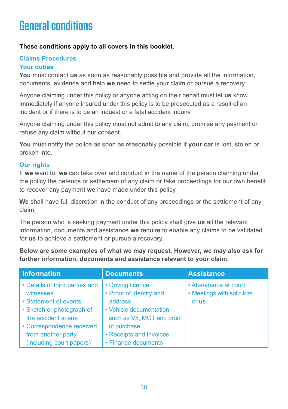### **General conditions**

### **These conditions apply to all covers in this booklet.**

### **Claims Procedures**

### **Your duties**

**You** must contact **us** as soon as reasonably possible and provide all the information, documents, evidence and help **we** need to settle your claim or pursue a recovery.

Anyone claiming under this policy or anyone acting on their behalf must let **us** know immediately if anyone insured under this policy is to be prosecuted as a result of an incident or if there is to be an inquest or a fatal accident inquiry.

Anyone claiming under this policy must not admit to any claim, promise any payment or refuse any claim without our consent.

**You** must notify the police as soon as reasonably possible if **your car** is lost, stolen or broken into.

### **Our rights**

If **we** want to, **we** can take over and conduct in the name of the person claiming under the policy the defence or settlement of any claim or take proceedings for our own benefit to recover any payment **we** have made under this policy.

**We** shall have full discretion in the conduct of any proceedings or the settlement of any claim.

The person who is seeking payment under this policy shall give **us** all the relevant information, documents and assistance **we** require to enable any claims to be validated for **us** to achieve a settlement or pursue a recovery.

**Below are some examples of what we may request. However, we may also ask for further information, documents and assistance relevant to your claim.**

| <b>Information</b>                                                                                                                                                                                     | <b>Documents</b>                                                                                                                                                                 | <b>Assistance</b>                                            |
|--------------------------------------------------------------------------------------------------------------------------------------------------------------------------------------------------------|----------------------------------------------------------------------------------------------------------------------------------------------------------------------------------|--------------------------------------------------------------|
| • Details of third parties and<br>witnesses<br>• Statement of events<br>• Sketch or photograph of<br>the accident scene<br>• Correspondence received<br>from another party<br>(including court papers) | • Driving licence<br>• Proof of identity and<br>address<br>• Vehicle documentation<br>such as V5, MOT and proof<br>of purchase<br>• Receipts and invoices<br>• Finance documents | • Attendance at court<br>• Meetings with solicitors<br>or us |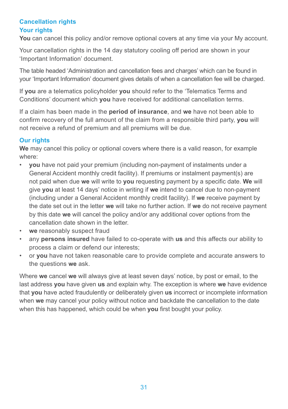### **Cancellation rights Your rights**

You can cancel this policy and/or remove optional covers at any time via your My account.

Your cancellation rights in the 14 day statutory cooling off period are shown in your 'Important Information' document.

The table headed 'Administration and cancellation fees and charges' which can be found in your 'Important Information' document gives details of when a cancellation fee will be charged.

If **you** are a telematics policyholder **you** should refer to the 'Telematics Terms and Conditions' document which **you** have received for additional cancellation terms.

If a claim has been made in the **period of insurance**, and **we** have not been able to confirm recovery of the full amount of the claim from a responsible third party, **you** will not receive a refund of premium and all premiums will be due.

### **Our rights**

**We** may cancel this policy or optional covers where there is a valid reason, for example where:

- **you** have not paid your premium (including non-payment of instalments under a General Accident monthly credit facility). If premiums or instalment payment(s) are not paid when due **we** will write to **you** requesting payment by a specific date. **We** will give **you** at least 14 days' notice in writing if **we** intend to cancel due to non-payment (including under a General Accident monthly credit facility). If **we** receive payment by the date set out in the letter **we** will take no further action. If **we** do not receive payment by this date **we** will cancel the policy and/or any additional cover options from the cancellation date shown in the letter.
- we reasonably suspect fraud
- any **persons insured** have failed to co-operate with **us** and this affects our ability to process a claim or defend our interests;
- or **you** have not taken reasonable care to provide complete and accurate answers to the questions **we** ask.

Where **we** cancel **we** will always give at least seven days' notice, by post or email, to the last address **you** have given **us** and explain why. The exception is where **we** have evidence that **you** have acted fraudulently or deliberately given **us** incorrect or incomplete information when **we** may cancel your policy without notice and backdate the cancellation to the date when this has happened, which could be when **you** first bought your policy.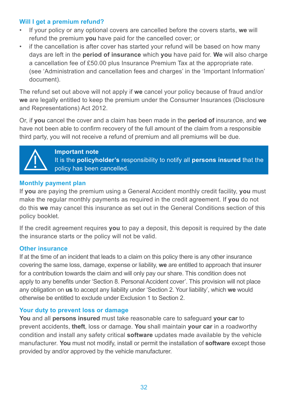### **Will I get a premium refund?**

- If your policy or any optional covers are cancelled before the covers starts, **we** will refund the premium **you** have paid for the cancelled cover; or
- if the cancellation is after cover has started your refund will be based on how many days are left in the **period of insurance** which **you** have paid for. **We** will also charge a cancellation fee of £50.00 plus Insurance Premium Tax at the appropriate rate. (see 'Administration and cancellation fees and charges' in the 'Important Information' document).

The refund set out above will not apply if **we** cancel your policy because of fraud and/or **we** are legally entitled to keep the premium under the Consumer Insurances (Disclosure and Representations) Act 2012.

Or, if **you** cancel the cover and a claim has been made in the **period of** insurance, and **we** have not been able to confirm recovery of the full amount of the claim from a responsible third party, you will not receive a refund of premium and all premiums will be due.

### **Important note**

It is the **policyholder's** responsibility to notify all **persons insured** that the policy has been cancelled.

### **Monthly payment plan**

If **you** are paying the premium using a General Accident monthly credit facility, **you** must make the regular monthly payments as required in the credit agreement. If **you** do not do this **we** may cancel this insurance as set out in the General Conditions section of this policy booklet.

If the credit agreement requires **you** to pay a deposit, this deposit is required by the date the insurance starts or the policy will not be valid.

### **Other insurance**

If at the time of an incident that leads to a claim on this policy there is any other insurance covering the same loss, damage, expense or liability, **we** are entitled to approach that insurer for a contribution towards the claim and will only pay our share. This condition does not apply to any benefits under 'Section 8. Personal Accident cover'. This provision will not place any obligation on **us** to accept any liability under 'Section 2. Your liability', which **we** would otherwise be entitled to exclude under Exclusion 1 to Section 2.

### **Your duty to prevent loss or damage**

**You** and all **persons insured** must take reasonable care to safeguard **your car** to prevent accidents, **theft**, loss or damage. **You** shall maintain **your car** in a roadworthy condition and install any safety critical **software** updates made available by the vehicle manufacturer. **You** must not modify, install or permit the installation of **software** except those provided by and/or approved by the vehicle manufacturer.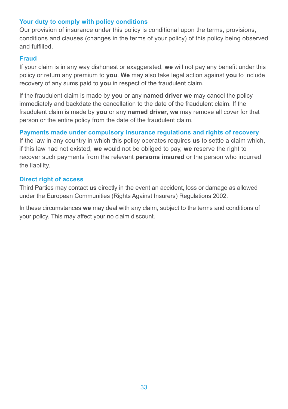### **Your duty to comply with policy conditions**

Our provision of insurance under this policy is conditional upon the terms, provisions, conditions and clauses (changes in the terms of your policy) of this policy being observed and fulfilled.

### **Fraud**

If your claim is in any way dishonest or exaggerated, **we** will not pay any benefit under this policy or return any premium to **you**. **We** may also take legal action against **you** to include recovery of any sums paid to **you** in respect of the fraudulent claim.

If the fraudulent claim is made by **you** or any **named driver we** may cancel the policy immediately and backdate the cancellation to the date of the fraudulent claim. If the fraudulent claim is made by **you** or any **named driver**, **we** may remove all cover for that person or the entire policy from the date of the fraudulent claim.

### **Payments made under compulsory insurance regulations and rights of recovery**

If the law in any country in which this policy operates requires **us** to settle a claim which, if this law had not existed, **we** would not be obliged to pay, **we** reserve the right to recover such payments from the relevant **persons insured** or the person who incurred the liability.

### **Direct right of access**

Third Parties may contact **us** directly in the event an accident, loss or damage as allowed under the European Communities (Rights Against Insurers) Regulations 2002.

In these circumstances **we** may deal with any claim, subject to the terms and conditions of your policy. This may affect your no claim discount.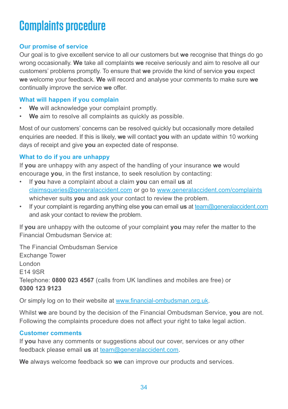### <span id="page-33-0"></span>**[Complaints procedure](#page-33-0)**

### **Our promise of service**

Our goal is to give excellent service to all our customers but **we** recognise that things do go wrong occasionally. **We** take all complaints **we** receive seriously and aim to resolve all our customers' problems promptly. To ensure that **we** provide the kind of service **you** expect **we** welcome your feedback. **We** will record and analyse your comments to make sure **we** continually improve the service **we** offer.

### **What will happen if you complain**

- **We** will acknowledge your complaint promptly.
- **We** aim to resolve all complaints as quickly as possible.

Most of our customers' concerns can be resolved quickly but occasionally more detailed enquiries are needed. If this is likely, **we** will contact **you** with an update within 10 working days of receipt and give **you** an expected date of response.

### **What to do if you are unhappy**

If **you** are unhappy with any aspect of the handling of your insurance **we** would encourage **you**, in the first instance, to seek resolution by contacting:

- If **you** have a complaint about a claim **you** can email **us** at [claimsqueries@generalaccident.com](mailto:claimsqueries@generalaccident.com) or go to [www.generalaccident.com/complaints](http://www.generalaccident.com/complaints) whichever suits **you** and ask your contact to review the problem.
- If your complaint is regarding anything else **you** can email **us** at [team@generalaccident.com](mailto:team@generalaccident.com) and ask your contact to review the problem.

If **you** are unhappy with the outcome of your complaint **you** may refer the matter to the Financial Ombudsman Service at:

The Financial Ombudsman Service Exchange Tower London E14 9SR Telephone: **0800 023 4567** (calls from UK landlines and mobiles are free) or **0300 123 9123**

Or simply log on to their website at [www.financial-ombudsman.org.uk](http://www.financial-ombudsman.org.uk).

Whilst **we** are bound by the decision of the Financial Ombudsman Service, **you** are not. Following the complaints procedure does not affect your right to take legal action.

### **Customer comments**

If **you** have any comments or suggestions about our cover, services or any other feedback please email **us** at [team@generalaccident.com](mailto:team@generalaccident.com).

**We** always welcome feedback so **we** can improve our products and services.